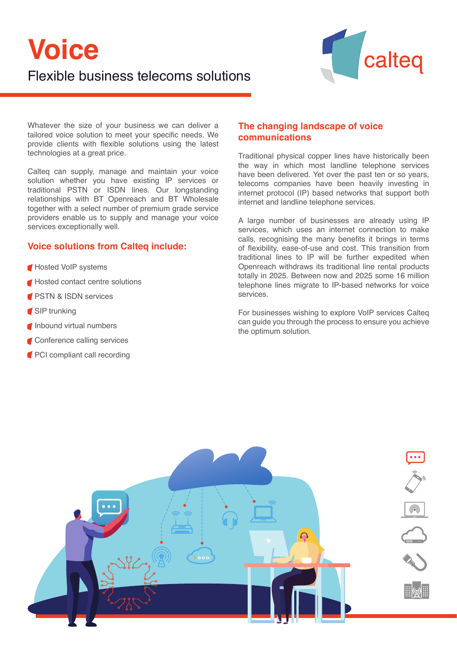# **Voice** Flexible business telecoms solutions



Whatever the size of your business we can deliver a tailored voice solution to meet your specific needs. We provide clients with flexible solutions using the latest technologies at a great price.

Calteq can supply, manage and maintain your voice solution whether you have existing IP services or traditional PSTN or ISDN lines. Our longstanding relationships with BT Openreach and BT Wholesale together with a select number of premium grade service providers enable us to supply and manage your voice services exceptionally well.

# **Voice solutions from Calteq include:**

- Hosted VoIP systems
- **Hosted contact centre solutions**
- **PSTN & ISDN services**
- **SIP** trunking
- Inbound virtual numbers
- **Conference calling services**
- **PCI compliant call recording**

## **The changing landscape of voice communications**

Traditional physical copper lines have historically been the way in which most landline telephone services have been delivered. Yet over the past ten or so years, telecoms companies have been heavily investing in internet protocol (IP) based networks that support both internet and landline telephone services.

A large number of businesses are already using IP services, which uses an internet connection to make calls, recognising the many benefits it brings in terms of flexibility, ease-of-use and cost. This transition from traditional lines to IP will be further expedited when Openreach withdraws its traditional line rental products totally in 2025. Between now and 2025 some 16 million telephone lines migrate to IP-based networks for voice services.

For businesses wishing to explore VoIP services Calteq can guide you through the process to ensure you achieve the optimum solution.